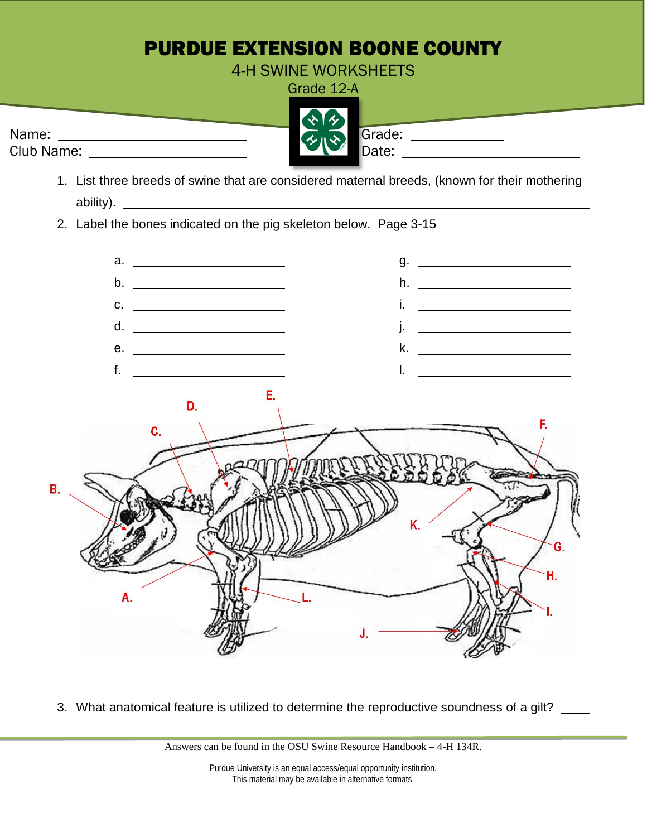## PURDUE EXTENSION BOONE COUNTY

4-H SWINE WORKSHEETS Grade 12-A

Name: Grade: Club Name: Date:

- 1. List three breeds of swine that are considered maternal breeds, (known for their mothering ability).
- 2. Label the bones indicated on the pig skeleton below. Page 3-15



3. What anatomical feature is utilized to determine the reproductive soundness of a gilt? \_\_\_\_

Answers can be found in the OSU Swine Resource Handbook – 4-H 134R.